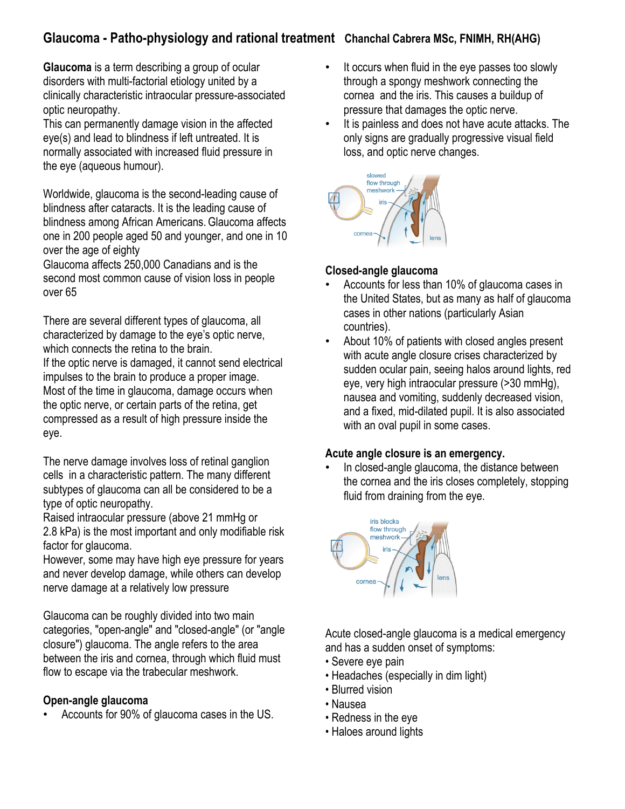# **Glaucoma - Patho-physiology and rational treatment Chanchal Cabrera MSc, FNIMH, RH(AHG)**

**Glaucoma** is a term describing a group of ocular disorders with multi-factorial etiology united by a clinically characteristic intraocular pressure-associated optic neuropathy.

This can permanently damage vision in the affected eye(s) and lead to blindness if left untreated. It is normally associated with increased fluid pressure in the eye (aqueous humour).

Worldwide, glaucoma is the second-leading cause of blindness after cataracts. It is the leading cause of blindness among African Americans.Glaucoma affects one in 200 people aged 50 and younger, and one in 10 over the age of eighty

Glaucoma affects 250,000 Canadians and is the second most common cause of vision loss in people over 65

There are several different types of glaucoma, all characterized by damage to the eye's optic nerve, which connects the retina to the brain. If the optic nerve is damaged, it cannot send electrical

impulses to the brain to produce a proper image. Most of the time in glaucoma, damage occurs when the optic nerve, or certain parts of the retina, get compressed as a result of high pressure inside the eye.

The nerve damage involves loss of retinal ganglion cells in a characteristic pattern. The many different subtypes of glaucoma can all be considered to be a type of optic neuropathy.

Raised intraocular pressure (above 21 mmHg or 2.8 kPa) is the most important and only modifiable risk factor for glaucoma.

However, some may have high eye pressure for years and never develop damage, while others can develop nerve damage at a relatively low pressure

Glaucoma can be roughly divided into two main categories, "open-angle" and "closed-angle" (or "angle closure") glaucoma. The angle refers to the area between the iris and cornea, through which fluid must flow to escape via the trabecular meshwork.

### **Open-angle glaucoma**

• Accounts for 90% of glaucoma cases in the US.

- It occurs when fluid in the eye passes too slowly through a spongy meshwork connecting the cornea and the iris. This causes a buildup of pressure that damages the optic nerve.
- It is painless and does not have acute attacks. The only signs are gradually progressive visual field loss, and optic nerve changes.



### **Closed-angle glaucoma**

- Accounts for less than 10% of glaucoma cases in the United States, but as many as half of glaucoma cases in other nations (particularly Asian countries).
- About 10% of patients with closed angles present with acute angle closure crises characterized by sudden ocular pain, seeing halos around lights, red eye, very high intraocular pressure (>30 mmHg), nausea and vomiting, suddenly decreased vision, and a fixed, mid-dilated pupil. It is also associated with an oval pupil in some cases.

### **Acute angle closure is an emergency.**

• In closed-angle glaucoma, the distance between the cornea and the iris closes completely, stopping fluid from draining from the eye.



Acute closed-angle glaucoma is a medical emergency and has a sudden onset of symptoms:

- Severe eye pain
- Headaches (especially in dim light)
- Blurred vision
- Nausea
- Redness in the eye
- Haloes around lights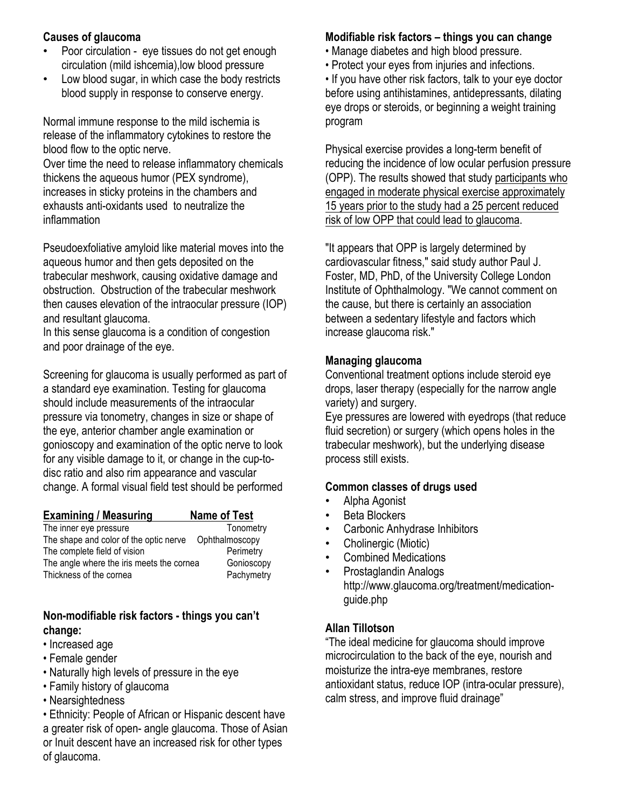### **Causes of glaucoma**

- Poor circulation eye tissues do not get enough circulation (mild ishcemia),low blood pressure
- Low blood sugar, in which case the body restricts blood supply in response to conserve energy.

Normal immune response to the mild ischemia is release of the inflammatory cytokines to restore the blood flow to the optic nerve. Over time the need to release inflammatory chemicals thickens the aqueous humor (PEX syndrome), increases in sticky proteins in the chambers and exhausts anti-oxidants used to neutralize the inflammation

Pseudoexfoliative amyloid like material moves into the aqueous humor and then gets deposited on the trabecular meshwork, causing oxidative damage and obstruction. Obstruction of the trabecular meshwork then causes elevation of the intraocular pressure (IOP) and resultant glaucoma.

In this sense glaucoma is a condition of congestion and poor drainage of the eye.

Screening for glaucoma is usually performed as part of a standard eye examination. Testing for glaucoma should include measurements of the intraocular pressure via tonometry, changes in size or shape of the eye, anterior chamber angle examination or gonioscopy and examination of the optic nerve to look for any visible damage to it, or change in the cup-todisc ratio and also rim appearance and vascular change. A formal visual field test should be performed

| <b>Examining / Measuring</b>              | <b>Name of Test</b> |
|-------------------------------------------|---------------------|
| The inner eye pressure                    | Tonometry           |
| The shape and color of the optic nerve    | Ophthalmoscopy      |
| The complete field of vision              | Perimetry           |
| The angle where the iris meets the cornea | Gonioscopy          |
| Thickness of the cornea                   | Pachymetry          |

### **Non-modifiable risk factors - things you can't change:**

- Increased age
- Female gender
- Naturally high levels of pressure in the eye
- Family history of glaucoma
- Nearsightedness

• Ethnicity: People of African or Hispanic descent have a greater risk of open- angle glaucoma. Those of Asian or Inuit descent have an increased risk for other types of glaucoma.

# **Modifiable risk factors – things you can change**

- Manage diabetes and high blood pressure.
- Protect your eyes from injuries and infections.
- If you have other risk factors, talk to your eye doctor before using antihistamines, antidepressants, dilating eye drops or steroids, or beginning a weight training program

Physical exercise provides a long-term benefit of reducing the incidence of low ocular perfusion pressure (OPP). The results showed that study participants who engaged in moderate physical exercise approximately 15 years prior to the study had a 25 percent reduced risk of low OPP that could lead to glaucoma.

"It appears that OPP is largely determined by cardiovascular fitness," said study author Paul J. Foster, MD, PhD, of the University College London Institute of Ophthalmology. "We cannot comment on the cause, but there is certainly an association between a sedentary lifestyle and factors which increase glaucoma risk."

### **Managing glaucoma**

Conventional treatment options include steroid eye drops, laser therapy (especially for the narrow angle variety) and surgery.

Eye pressures are lowered with eyedrops (that reduce fluid secretion) or surgery (which opens holes in the trabecular meshwork), but the underlying disease process still exists.

# **Common classes of drugs used**

- Alpha Agonist
- Beta Blockers
- Carbonic Anhydrase Inhibitors
- Cholinergic (Miotic)
- Combined Medications
- Prostaglandin Analogs http://www.glaucoma.org/treatment/medicationguide.php

# **Allan Tillotson**

"The ideal medicine for glaucoma should improve microcirculation to the back of the eye, nourish and moisturize the intra-eye membranes, restore antioxidant status, reduce IOP (intra-ocular pressure), calm stress, and improve fluid drainage"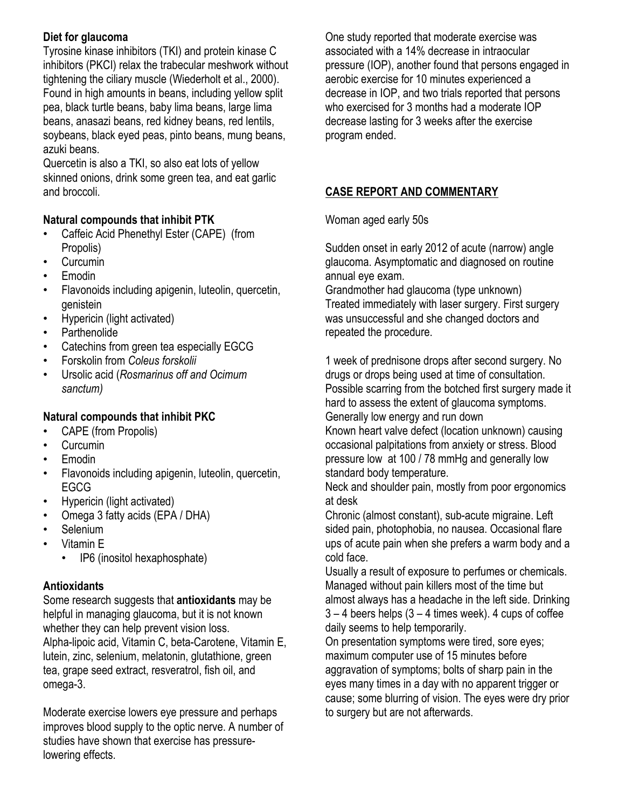# **Diet for glaucoma**

Tyrosine kinase inhibitors (TKI) and protein kinase C inhibitors (PKCI) relax the trabecular meshwork without tightening the ciliary muscle (Wiederholt et al., 2000). Found in high amounts in beans, including yellow split pea, black turtle beans, baby lima beans, large lima beans, anasazi beans, red kidney beans, red lentils, soybeans, black eyed peas, pinto beans, mung beans, azuki beans.

Quercetin is also a TKI, so also eat lots of yellow skinned onions, drink some green tea, and eat garlic and broccoli.

### **Natural compounds that inhibit PTK**

- Caffeic Acid Phenethyl Ester (CAPE) (from Propolis)
- Curcumin
- Emodin
- Flavonoids including apigenin, luteolin, quercetin, genistein
- Hypericin (light activated)
- Parthenolide
- Catechins from green tea especially EGCG
- Forskolin from *Coleus forskolii*
- Ursolic acid (*Rosmarinus off and Ocimum sanctum)*

# **Natural compounds that inhibit PKC**

- CAPE (from Propolis)
- Curcumin
- Emodin
- Flavonoids including apigenin, luteolin, quercetin, EGCG
- Hypericin (light activated)
- Omega 3 fatty acids (EPA / DHA)
- Selenium
- Vitamin E
	- IP6 (inositol hexaphosphate)

# **Antioxidants**

Some research suggests that **antioxidants** may be helpful in managing glaucoma, but it is not known whether they can help prevent vision loss. Alpha-lipoic acid, Vitamin C, beta-Carotene, Vitamin E, lutein, zinc, selenium, melatonin, glutathione, green tea, grape seed extract, resveratrol, fish oil, and omega-3.

Moderate exercise lowers eye pressure and perhaps improves blood supply to the optic nerve. A number of studies have shown that exercise has pressurelowering effects.

One study reported that moderate exercise was associated with a 14% decrease in intraocular pressure (IOP), another found that persons engaged in aerobic exercise for 10 minutes experienced a decrease in IOP, and two trials reported that persons who exercised for 3 months had a moderate IOP decrease lasting for 3 weeks after the exercise program ended.

# **CASE REPORT AND COMMENTARY**

Woman aged early 50s

Sudden onset in early 2012 of acute (narrow) angle glaucoma. Asymptomatic and diagnosed on routine annual eye exam.

Grandmother had glaucoma (type unknown) Treated immediately with laser surgery. First surgery was unsuccessful and she changed doctors and repeated the procedure.

1 week of prednisone drops after second surgery. No drugs or drops being used at time of consultation. Possible scarring from the botched first surgery made it hard to assess the extent of glaucoma symptoms. Generally low energy and run down

Known heart valve defect (location unknown) causing occasional palpitations from anxiety or stress. Blood pressure low at 100 / 78 mmHg and generally low standard body temperature.

Neck and shoulder pain, mostly from poor ergonomics at desk

Chronic (almost constant), sub-acute migraine. Left sided pain, photophobia, no nausea. Occasional flare ups of acute pain when she prefers a warm body and a cold face.

Usually a result of exposure to perfumes or chemicals. Managed without pain killers most of the time but almost always has a headache in the left side. Drinking  $3 - 4$  beers helps  $(3 - 4)$  times week). 4 cups of coffee daily seems to help temporarily.

On presentation symptoms were tired, sore eyes; maximum computer use of 15 minutes before aggravation of symptoms; bolts of sharp pain in the eyes many times in a day with no apparent trigger or cause; some blurring of vision. The eyes were dry prior to surgery but are not afterwards.